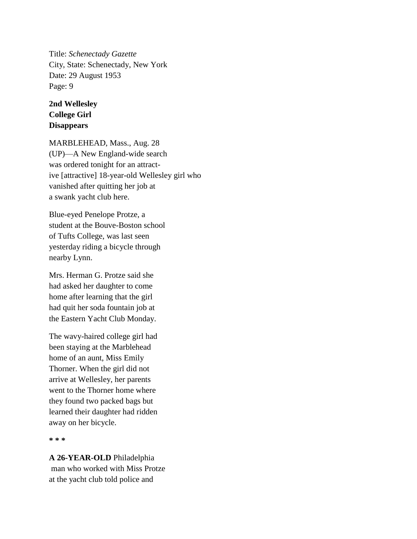Title: *Schenectady Gazette* City, State: Schenectady, New York Date: 29 August 1953 Page: 9

## **2nd Wellesley College Girl Disappears**

MARBLEHEAD, Mass., Aug. 28 (UP)—A New England-wide search was ordered tonight for an attractive [attractive] 18-year-old Wellesley girl who vanished after quitting her job at a swank yacht club here.

Blue-eyed Penelope Protze, a student at the Bouve-Boston school of Tufts College, was last seen yesterday riding a bicycle through nearby Lynn.

Mrs. Herman G. Protze said she had asked her daughter to come home after learning that the girl had quit her soda fountain job at the Eastern Yacht Club Monday.

The wavy-haired college girl had been staying at the Marblehead home of an aunt, Miss Emily Thorner. When the girl did not arrive at Wellesley, her parents went to the Thorner home where they found two packed bags but learned their daughter had ridden away on her bicycle.

**\* \* \***

**A 26-YEAR-OLD** Philadelphia man who worked with Miss Protze at the yacht club told police and